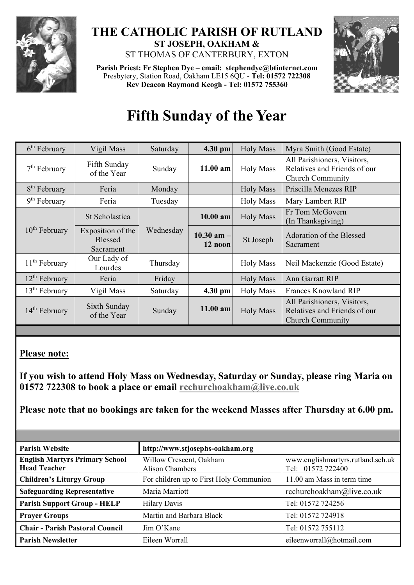

## **THE CATHOLIC PARISH OF RUTLAND ST JOSEPH, OAKHAM &**  ST THOMAS OF CANTERBURY, EXTON

**Parish Priest: Fr Stephen Dye** – **[email: stephendye@btinternet.com](mailto:email:%20%20stephendye@btinternet.com)** Presbytery, Station Road, Oakham LE15 6QU - **Tel: 01572 722308 Rev Deacon Raymond Keogh - Tel: 01572 755360**



## **Fifth Sunday of the Year**

| $6th$ February            | Vigil Mass                                       | Saturday  | 4.30 pm                   | <b>Holy Mass</b> | Myra Smith (Good Estate)                                                               |
|---------------------------|--------------------------------------------------|-----------|---------------------------|------------------|----------------------------------------------------------------------------------------|
| $7th$ February            | Fifth Sunday<br>of the Year                      | Sunday    | $11.00$ am                | <b>Holy Mass</b> | All Parishioners, Visitors,<br>Relatives and Friends of our<br><b>Church Community</b> |
| 8 <sup>th</sup> February  | Feria                                            | Monday    |                           | <b>Holy Mass</b> | Priscilla Menezes RIP                                                                  |
| $9th$ February            | Feria                                            | Tuesday   |                           | <b>Holy Mass</b> | Mary Lambert RIP                                                                       |
| $10th$ February           | St Scholastica                                   |           | 10.00 am                  | <b>Holy Mass</b> | Fr Tom McGovern<br>(In Thanksgiving)                                                   |
|                           | Exposition of the<br><b>Blessed</b><br>Sacrament | Wednesday | $10.30$ am $-$<br>12 noon | St Joseph        | Adoration of the Blessed<br>Sacrament                                                  |
| $11th$ February           | Our Lady of<br>Lourdes                           | Thursday  |                           | <b>Holy Mass</b> | Neil Mackenzie (Good Estate)                                                           |
| $12th$ February           | Feria                                            | Friday    |                           | <b>Holy Mass</b> | Ann Garratt RIP                                                                        |
| $13th$ February           | Vigil Mass                                       | Saturday  | 4.30 pm                   | <b>Holy Mass</b> | Frances Knowland RIP                                                                   |
| 14 <sup>th</sup> February | Sixth Sunday<br>of the Year                      | Sunday    | 11.00 am                  | <b>Holy Mass</b> | All Parishioners, Visitors,<br>Relatives and Friends of our<br><b>Church Community</b> |

## **Please note:**

**If you wish to attend Holy Mass on Wednesday, Saturday or Sunday, please ring Maria on 01572 722308 to book a place or email [rcchurchoakham@live.co.uk](mailto:rcchurchoakham@live.co.uk)**

**Please note that no bookings are taken for the weekend Masses after Thursday at 6.00 pm.**

| <b>Parish Website</b>                                        | http://www.stjosephs-oakham.org            |                                                        |
|--------------------------------------------------------------|--------------------------------------------|--------------------------------------------------------|
| <b>English Martyrs Primary School</b><br><b>Head Teacher</b> | Willow Crescent, Oakham<br>Alison Chambers | www.englishmartyrs.rutland.sch.uk<br>Tel: 01572 722400 |
| <b>Children's Liturgy Group</b>                              | For children up to First Holy Communion    | 11.00 am Mass in term time                             |
| <b>Safeguarding Representative</b>                           | Maria Marriott                             | rcchurchoakham@live.co.uk                              |
| <b>Parish Support Group - HELP</b>                           | <b>Hilary Davis</b>                        | Tel: 01572 724256                                      |
| <b>Prayer Groups</b>                                         | Martin and Barbara Black                   | Tel: 01572 724918                                      |
| <b>Chair - Parish Pastoral Council</b>                       | Jim O'Kane                                 | Tel: 01572 755112                                      |
| <b>Parish Newsletter</b>                                     | Eileen Worrall                             | eileenworrall@hotmail.com                              |